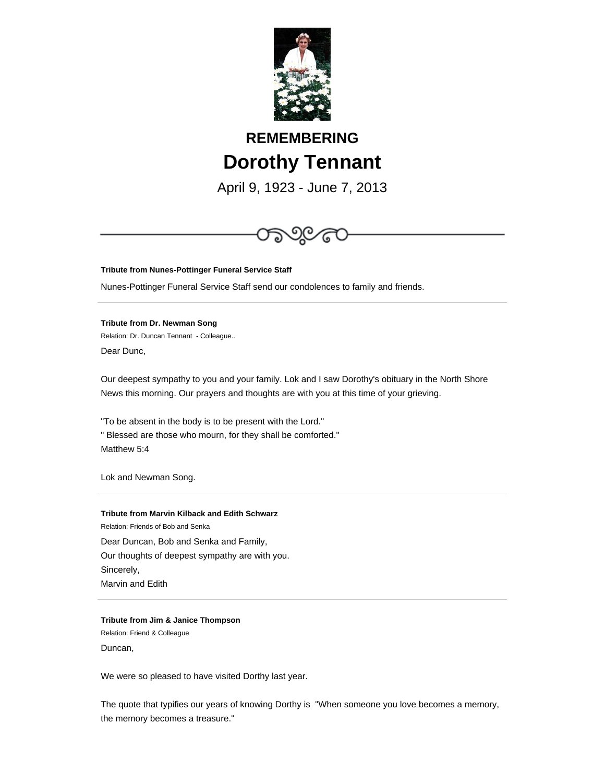

# **REMEMBERING Dorothy Tennant**

April 9, 1923 - June 7, 2013



**Tribute from Nunes-Pottinger Funeral Service Staff**

Nunes-Pottinger Funeral Service Staff send our condolences to family and friends.

**Tribute from Dr. Newman Song** Relation: Dr. Duncan Tennant - Colleague.. Dear Dunc,

Our deepest sympathy to you and your family. Lok and I saw Dorothy's obituary in the North Shore News this morning. Our prayers and thoughts are with you at this time of your grieving.

"To be absent in the body is to be present with the Lord." " Blessed are those who mourn, for they shall be comforted." Matthew 5:4

Lok and Newman Song.

**Tribute from Marvin Kilback and Edith Schwarz** Relation: Friends of Bob and Senka Dear Duncan, Bob and Senka and Family, Our thoughts of deepest sympathy are with you. Sincerely, Marvin and Edith

**Tribute from Jim & Janice Thompson** Relation: Friend & Colleague Duncan,

We were so pleased to have visited Dorthy last year.

The quote that typifies our years of knowing Dorthy is "When someone you love becomes a memory, the memory becomes a treasure."